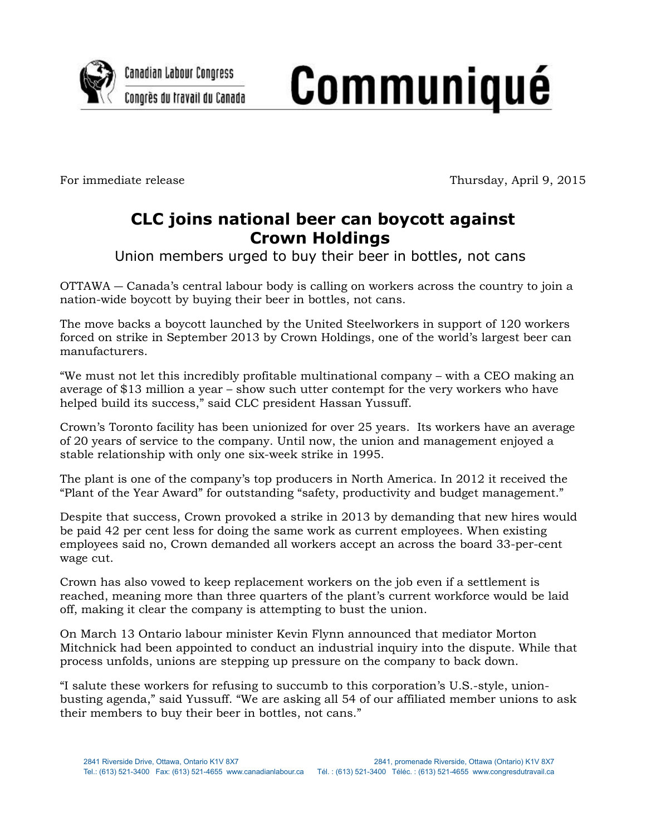

## **Communiqué**

For immediate release Thursday, April 9, 2015

## **CLC joins national beer can boycott against Crown Holdings**

Union members urged to buy their beer in bottles, not cans

OTTAWA ― Canada's central labour body is calling on workers across the country to join a nation-wide boycott by buying their beer in bottles, not cans.

The move backs a boycott launched by the United Steelworkers in support of 120 workers forced on strike in September 2013 by Crown Holdings, one of the world's largest beer can manufacturers.

"We must not let this incredibly profitable multinational company – with a CEO making an average of \$13 million a year – show such utter contempt for the very workers who have helped build its success," said CLC president Hassan Yussuff.

Crown's Toronto facility has been unionized for over 25 years. Its workers have an average of 20 years of service to the company. Until now, the union and management enjoyed a stable relationship with only one six-week strike in 1995.

The plant is one of the company's top producers in North America. In 2012 it received the "Plant of the Year Award" for outstanding "safety, productivity and budget management."

Despite that success, Crown provoked a strike in 2013 by demanding that new hires would be paid 42 per cent less for doing the same work as current employees. When existing employees said no, Crown demanded all workers accept an across the board 33-per-cent wage cut.

Crown has also vowed to keep replacement workers on the job even if a settlement is reached, meaning more than three quarters of the plant's current workforce would be laid off, making it clear the company is attempting to bust the union.

On March 13 Ontario labour minister Kevin Flynn announced that mediator Morton Mitchnick had been appointed to conduct an industrial inquiry into the dispute. While that process unfolds, unions are stepping up pressure on the company to back down.

"I salute these workers for refusing to succumb to this corporation's U.S.-style, unionbusting agenda," said Yussuff. "We are asking all 54 of our affiliated member unions to ask their members to buy their beer in bottles, not cans."